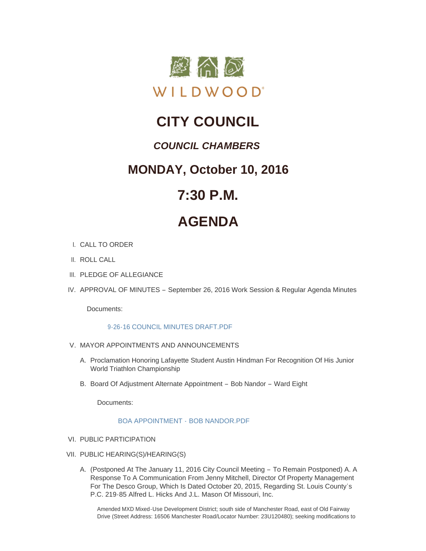

## **CITY COUNCIL**

### *COUNCIL CHAMBERS*

### **MONDAY, October 10, 2016**

## **7:30 P.M.**

# **AGENDA**

- CALL TO ORDER I.
- II. ROLL CALL
- III. PLEDGE OF ALLEGIANCE
- IV. APPROVAL OF MINUTES September 26, 2016 Work Session & Regular Agenda Minutes

Documents:

#### [9-26-16 COUNCIL MINUTES DRAFT.PDF](http://mo-wildwood.civicplus.com/AgendaCenter/ViewFile/Item/8399?fileID=12462)

- V. MAYOR APPOINTMENTS AND ANNOUNCEMENTS
	- A. Proclamation Honoring Lafayette Student Austin Hindman For Recognition Of His Junior World Triathlon Championship
	- B. Board Of Adjustment Alternate Appointment Bob Nandor Ward Eight

Documents:

#### [BOA APPOINTMENT -](http://mo-wildwood.civicplus.com/AgendaCenter/ViewFile/Item/8402?fileID=12468) BOB NANDOR.PDF

- VI. PUBLIC PARTICIPATION
- PUBLIC HEARING(S)/HEARING(S) VII.
	- A. (Postponed At The January 11, 2016 City Council Meeting To Remain Postponed) A. A Response To A Communication From Jenny Mitchell, Director Of Property Management For The Desco Group, Which Is Dated October 20, 2015, Regarding St. Louis County's P.C. 219-85 Alfred L. Hicks And J.L. Mason Of Missouri, Inc.

Amended MXD Mixed-Use Development District; south side of Manchester Road, east of Old Fairway Drive (Street Address: 16506 Manchester Road/Locator Number: 23U120480); seeking modifications to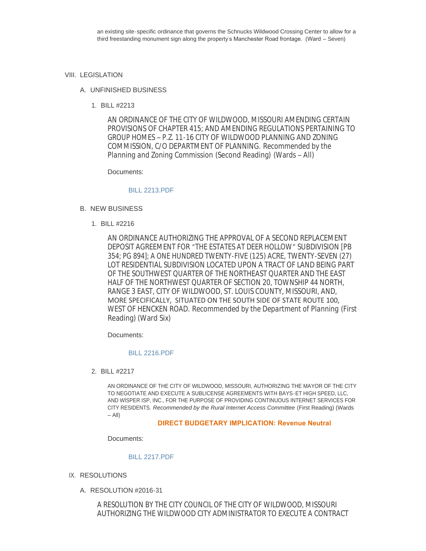#### VIII. LEGISLATION

#### UNFINISHED BUSINESS A.

BILL #2213 1.

AN ORDINANCE OF THE CITY OF WILDWOOD, MISSOURI AMENDING CERTAIN PROVISIONS OF CHAPTER 415; AND AMENDING REGULATIONS PERTAINING TO GROUP HOMES – P.Z. 11-16 CITY OF WILDWOOD PLANNING AND ZONING COMMISSION, C/O DEPARTMENT OF PLANNING. *Recommended by the Planning and Zoning Commission* (Second Reading) (Wards – All)

#### Documents:

#### [BILL 2213.PDF](http://mo-wildwood.civicplus.com/AgendaCenter/ViewFile/Item/8409?fileID=12463)

- B. NEW BUSINESS
	- BILL #2216 1.

AN ORDINANCE AUTHORIZING THE APPROVAL OF A SECOND REPLACEMENT DEPOSIT AGREEMENT FOR "THE ESTATES AT DEER HOLLOW" SUBDIVISION [PB 354; PG 894]; A ONE HUNDRED TWENTY-FIVE (125) ACRE, TWENTY-SEVEN (27) LOT RESIDENTIAL SUBDIVISION LOCATED UPON A TRACT OF LAND BEING PART OF THE SOUTHWEST QUARTER OF THE NORTHEAST QUARTER AND THE EAST HALF OF THE NORTHWEST QUARTER OF SECTION 20, TOWNSHIP 44 NORTH, RANGE 3 EAST, CITY OF WILDWOOD, ST. LOUIS COUNTY, MISSOURI, AND, MORE SPECIFICALLY, SITUATED ON THE SOUTH SIDE OF STATE ROUTE 100, WEST OF HENCKEN ROAD. *Recommended by the Department of Planning* (First Reading) (Ward Six)

Documents:

#### [BILL 2216.PDF](http://mo-wildwood.civicplus.com/AgendaCenter/ViewFile/Item/8411?fileID=12464)

BILL #2217 2.

AN ORDINANCE OF THE CITY OF WILDWOOD, MISSOURI, AUTHORIZING THE MAYOR OF THE CITY TO NEGOTIATE AND EXECUTE A SUBLICENSE AGREEMENTS WITH BAYS-ET HIGH SPEED, LLC, AND WISPER ISP, INC., FOR THE PURPOSE OF PROVIDING CONTINUOUS INTERNET SERVICES FOR CITY RESIDENTS. *Recommended by the Rural Internet Access Committee* (First Reading) (Wards  $-$  All)

#### **DIRECT BUDGETARY IMPLICATION: Revenue Neutral**

Documents:

#### [BILL 2217.PDF](http://mo-wildwood.civicplus.com/AgendaCenter/ViewFile/Item/8412?fileID=12465)

- IX. RESOLUTIONS
	- RESOLUTION #2016-31 A.

A RESOLUTION BY THE CITY COUNCIL OF THE CITY OF WILDWOOD, MISSOURI AUTHORIZING THE WILDWOOD CITY ADMINISTRATOR TO EXECUTE A CONTRACT